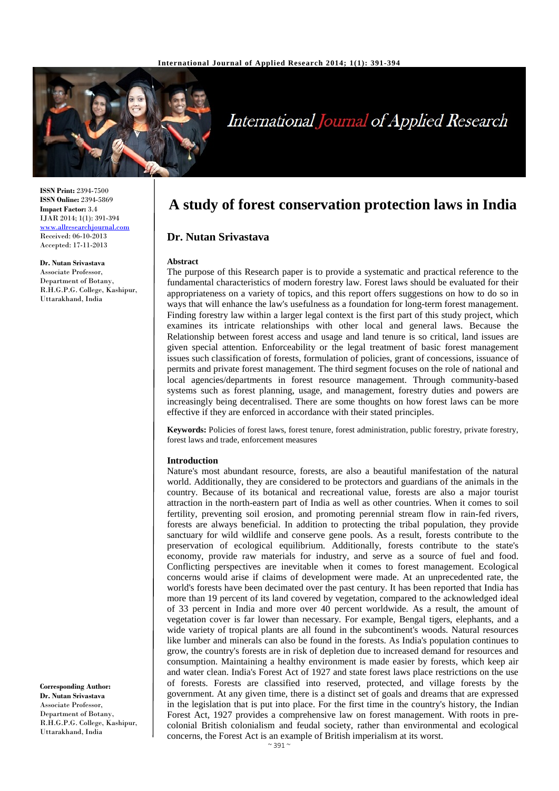

# **International Journal of Applied Research**

**ISSN Print:** 2394-7500 **ISSN Online:** 2394-5869 **Impact Factor:** 3.4 IJAR 2014; 1(1): 391-394 [www.allresearchjournal.com](http://www.allresearchjournal.com/) Received: 06-10-2013 Accepted: 17-11-2013

**Dr. Nutan Srivastava** Associate Professor, Department of Botany, R.H.G.P.G. College, Kashipur, Uttarakhand, India

**A study of forest conservation protection laws in India**

## **Dr. Nutan Srivastava**

#### **Abstract**

The purpose of this Research paper is to provide a systematic and practical reference to the fundamental characteristics of modern forestry law. Forest laws should be evaluated for their appropriateness on a variety of topics, and this report offers suggestions on how to do so in ways that will enhance the law's usefulness as a foundation for long-term forest management. Finding forestry law within a larger legal context is the first part of this study project, which examines its intricate relationships with other local and general laws. Because the Relationship between forest access and usage and land tenure is so critical, land issues are given special attention. Enforceability or the legal treatment of basic forest management issues such classification of forests, formulation of policies, grant of concessions, issuance of permits and private forest management. The third segment focuses on the role of national and local agencies/departments in forest resource management. Through community-based systems such as forest planning, usage, and management, forestry duties and powers are increasingly being decentralised. There are some thoughts on how forest laws can be more effective if they are enforced in accordance with their stated principles.

**Keywords:** Policies of forest laws, forest tenure, forest administration, public forestry, private forestry, forest laws and trade, enforcement measures

#### **Introduction**

Nature's most abundant resource, forests, are also a beautiful manifestation of the natural world. Additionally, they are considered to be protectors and guardians of the animals in the country. Because of its botanical and recreational value, forests are also a major tourist attraction in the north-eastern part of India as well as other countries. When it comes to soil fertility, preventing soil erosion, and promoting perennial stream flow in rain-fed rivers, forests are always beneficial. In addition to protecting the tribal population, they provide sanctuary for wild wildlife and conserve gene pools. As a result, forests contribute to the preservation of ecological equilibrium. Additionally, forests contribute to the state's economy, provide raw materials for industry, and serve as a source of fuel and food. Conflicting perspectives are inevitable when it comes to forest management. Ecological concerns would arise if claims of development were made. At an unprecedented rate, the world's forests have been decimated over the past century. It has been reported that India has more than 19 percent of its land covered by vegetation, compared to the acknowledged ideal of 33 percent in India and more over 40 percent worldwide. As a result, the amount of vegetation cover is far lower than necessary. For example, Bengal tigers, elephants, and a wide variety of tropical plants are all found in the subcontinent's woods. Natural resources like lumber and minerals can also be found in the forests. As India's population continues to grow, the country's forests are in risk of depletion due to increased demand for resources and consumption. Maintaining a healthy environment is made easier by forests, which keep air and water clean. India's Forest Act of 1927 and state forest laws place restrictions on the use of forests. Forests are classified into reserved, protected, and village forests by the government. At any given time, there is a distinct set of goals and dreams that are expressed in the legislation that is put into place. For the first time in the country's history, the Indian Forest Act, 1927 provides a comprehensive law on forest management. With roots in precolonial British colonialism and feudal society, rather than environmental and ecological concerns, the Forest Act is an example of British imperialism at its worst.

**Corresponding Author: Dr. Nutan Srivastava** Associate Professor, Department of Botany, R.H.G.P.G. College, Kashipur, Uttarakhand, India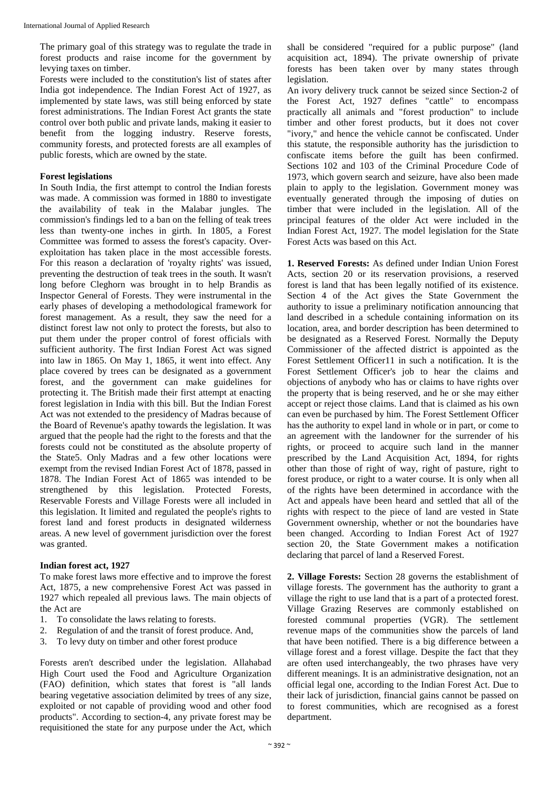The primary goal of this strategy was to regulate the trade in forest products and raise income for the government by levying taxes on timber.

Forests were included to the constitution's list of states after India got independence. The Indian Forest Act of 1927, as implemented by state laws, was still being enforced by state forest administrations. The Indian Forest Act grants the state control over both public and private lands, making it easier to benefit from the logging industry. Reserve forests, community forests, and protected forests are all examples of public forests, which are owned by the state.

## **Forest legislations**

In South India, the first attempt to control the Indian forests was made. A commission was formed in 1880 to investigate the availability of teak in the Malabar jungles. The commission's findings led to a ban on the felling of teak trees less than twenty-one inches in girth. In 1805, a Forest Committee was formed to assess the forest's capacity. Overexploitation has taken place in the most accessible forests. For this reason a declaration of 'royalty rights' was issued, preventing the destruction of teak trees in the south. It wasn't long before Cleghorn was brought in to help Brandis as Inspector General of Forests. They were instrumental in the early phases of developing a methodological framework for forest management. As a result, they saw the need for a distinct forest law not only to protect the forests, but also to put them under the proper control of forest officials with sufficient authority. The first Indian Forest Act was signed into law in 1865. On May 1, 1865, it went into effect. Any place covered by trees can be designated as a government forest, and the government can make guidelines for protecting it. The British made their first attempt at enacting forest legislation in India with this bill. But the Indian Forest Act was not extended to the presidency of Madras because of the Board of Revenue's apathy towards the legislation. It was argued that the people had the right to the forests and that the forests could not be constituted as the absolute property of the State5. Only Madras and a few other locations were exempt from the revised Indian Forest Act of 1878, passed in 1878. The Indian Forest Act of 1865 was intended to be strengthened by this legislation. Protected Forests, Reservable Forests and Village Forests were all included in this legislation. It limited and regulated the people's rights to forest land and forest products in designated wilderness areas. A new level of government jurisdiction over the forest was granted.

## **Indian forest act, 1927**

To make forest laws more effective and to improve the forest Act, 1875, a new comprehensive Forest Act was passed in 1927 which repealed all previous laws. The main objects of the Act are

- 1. To consolidate the laws relating to forests.
- 2. Regulation of and the transit of forest produce. And,
- 3. To levy duty on timber and other forest produce

Forests aren't described under the legislation. Allahabad High Court used the Food and Agriculture Organization (FAO) definition, which states that forest is "all lands bearing vegetative association delimited by trees of any size, exploited or not capable of providing wood and other food products". According to section-4, any private forest may be requisitioned the state for any purpose under the Act, which

shall be considered "required for a public purpose" (land acquisition act, 1894). The private ownership of private forests has been taken over by many states through legislation.

An ivory delivery truck cannot be seized since Section-2 of the Forest Act, 1927 defines "cattle" to encompass practically all animals and "forest production" to include timber and other forest products, but it does not cover "ivory," and hence the vehicle cannot be confiscated. Under this statute, the responsible authority has the jurisdiction to confiscate items before the guilt has been confirmed. Sections 102 and 103 of the Criminal Procedure Code of 1973, which govern search and seizure, have also been made plain to apply to the legislation. Government money was eventually generated through the imposing of duties on timber that were included in the legislation. All of the principal features of the older Act were included in the Indian Forest Act, 1927. The model legislation for the State Forest Acts was based on this Act.

**1. Reserved Forests:** As defined under Indian Union Forest Acts, section 20 or its reservation provisions, a reserved forest is land that has been legally notified of its existence. Section 4 of the Act gives the State Government the authority to issue a preliminary notification announcing that land described in a schedule containing information on its location, area, and border description has been determined to be designated as a Reserved Forest. Normally the Deputy Commissioner of the affected district is appointed as the Forest Settlement Officer11 in such a notification. It is the Forest Settlement Officer's job to hear the claims and objections of anybody who has or claims to have rights over the property that is being reserved, and he or she may either accept or reject those claims. Land that is claimed as his own can even be purchased by him. The Forest Settlement Officer has the authority to expel land in whole or in part, or come to an agreement with the landowner for the surrender of his rights, or proceed to acquire such land in the manner prescribed by the Land Acquisition Act, 1894, for rights other than those of right of way, right of pasture, right to forest produce, or right to a water course. It is only when all of the rights have been determined in accordance with the Act and appeals have been heard and settled that all of the rights with respect to the piece of land are vested in State Government ownership, whether or not the boundaries have been changed. According to Indian Forest Act of 1927 section 20, the State Government makes a notification declaring that parcel of land a Reserved Forest.

**2. Village Forests:** Section 28 governs the establishment of village forests. The government has the authority to grant a village the right to use land that is a part of a protected forest. Village Grazing Reserves are commonly established on forested communal properties (VGR). The settlement revenue maps of the communities show the parcels of land that have been notified. There is a big difference between a village forest and a forest village. Despite the fact that they are often used interchangeably, the two phrases have very different meanings. It is an administrative designation, not an official legal one, according to the Indian Forest Act. Due to their lack of jurisdiction, financial gains cannot be passed on to forest communities, which are recognised as a forest department.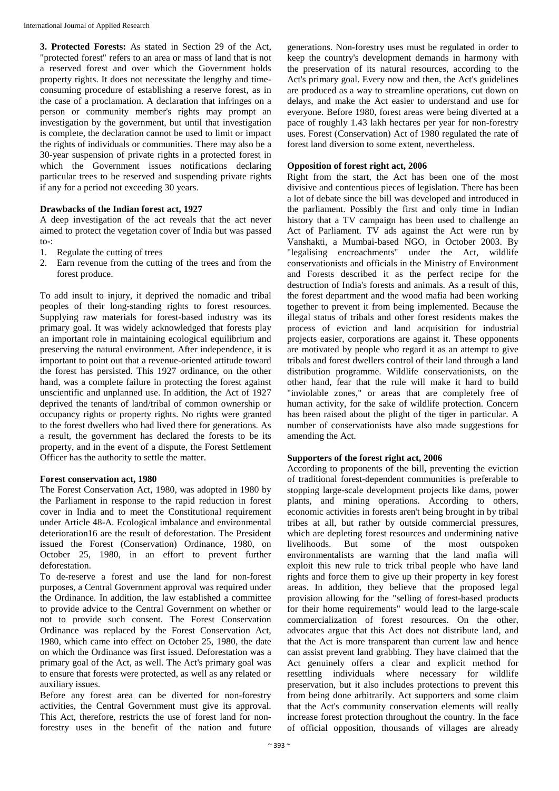**3. Protected Forests:** As stated in Section 29 of the Act, "protected forest" refers to an area or mass of land that is not a reserved forest and over which the Government holds property rights. It does not necessitate the lengthy and timeconsuming procedure of establishing a reserve forest, as in the case of a proclamation. A declaration that infringes on a person or community member's rights may prompt an investigation by the government, but until that investigation is complete, the declaration cannot be used to limit or impact the rights of individuals or communities. There may also be a 30-year suspension of private rights in a protected forest in which the Government issues notifications declaring particular trees to be reserved and suspending private rights if any for a period not exceeding 30 years.

## **Drawbacks of the Indian forest act, 1927**

A deep investigation of the act reveals that the act never aimed to protect the vegetation cover of India but was passed to-:

- 1. Regulate the cutting of trees
- 2. Earn revenue from the cutting of the trees and from the forest produce.

To add insult to injury, it deprived the nomadic and tribal peoples of their long-standing rights to forest resources. Supplying raw materials for forest-based industry was its primary goal. It was widely acknowledged that forests play an important role in maintaining ecological equilibrium and preserving the natural environment. After independence, it is important to point out that a revenue-oriented attitude toward the forest has persisted. This 1927 ordinance, on the other hand, was a complete failure in protecting the forest against unscientific and unplanned use. In addition, the Act of 1927 deprived the tenants of land/tribal of common ownership or occupancy rights or property rights. No rights were granted to the forest dwellers who had lived there for generations. As a result, the government has declared the forests to be its property, and in the event of a dispute, the Forest Settlement Officer has the authority to settle the matter.

### **Forest conservation act, 1980**

The Forest Conservation Act, 1980, was adopted in 1980 by the Parliament in response to the rapid reduction in forest cover in India and to meet the Constitutional requirement under Article 48-A. Ecological imbalance and environmental deterioration16 are the result of deforestation. The President issued the Forest (Conservation) Ordinance, 1980, on October 25, 1980, in an effort to prevent further deforestation.

To de-reserve a forest and use the land for non-forest purposes, a Central Government approval was required under the Ordinance. In addition, the law established a committee to provide advice to the Central Government on whether or not to provide such consent. The Forest Conservation Ordinance was replaced by the Forest Conservation Act, 1980, which came into effect on October 25, 1980, the date on which the Ordinance was first issued. Deforestation was a primary goal of the Act, as well. The Act's primary goal was to ensure that forests were protected, as well as any related or auxiliary issues.

Before any forest area can be diverted for non-forestry activities, the Central Government must give its approval. This Act, therefore, restricts the use of forest land for nonforestry uses in the benefit of the nation and future generations. Non-forestry uses must be regulated in order to keep the country's development demands in harmony with the preservation of its natural resources, according to the Act's primary goal. Every now and then, the Act's guidelines are produced as a way to streamline operations, cut down on delays, and make the Act easier to understand and use for everyone. Before 1980, forest areas were being diverted at a pace of roughly 1.43 lakh hectares per year for non-forestry uses. Forest (Conservation) Act of 1980 regulated the rate of forest land diversion to some extent, nevertheless.

## **Opposition of forest right act, 2006**

Right from the start, the Act has been one of the most divisive and contentious pieces of legislation. There has been a lot of debate since the bill was developed and introduced in the parliament. Possibly the first and only time in Indian history that a TV campaign has been used to challenge an Act of Parliament. TV ads against the Act were run by Vanshakti, a Mumbai-based NGO, in October 2003. By "legalising encroachments" under the Act, wildlife conservationists and officials in the Ministry of Environment and Forests described it as the perfect recipe for the destruction of India's forests and animals. As a result of this, the forest department and the wood mafia had been working together to prevent it from being implemented. Because the illegal status of tribals and other forest residents makes the process of eviction and land acquisition for industrial projects easier, corporations are against it. These opponents are motivated by people who regard it as an attempt to give tribals and forest dwellers control of their land through a land distribution programme. Wildlife conservationists, on the other hand, fear that the rule will make it hard to build "inviolable zones," or areas that are completely free of human activity, for the sake of wildlife protection. Concern has been raised about the plight of the tiger in particular. A number of conservationists have also made suggestions for amending the Act.

## **Supporters of the forest right act, 2006**

According to proponents of the bill, preventing the eviction of traditional forest-dependent communities is preferable to stopping large-scale development projects like dams, power plants, and mining operations. According to others, economic activities in forests aren't being brought in by tribal tribes at all, but rather by outside commercial pressures, which are depleting forest resources and undermining native<br>livelihoods. But some of the most outspoken livelihoods. But some of the most outspoken environmentalists are warning that the land mafia will exploit this new rule to trick tribal people who have land rights and force them to give up their property in key forest areas. In addition, they believe that the proposed legal provision allowing for the "selling of forest-based products for their home requirements" would lead to the large-scale commercialization of forest resources. On the other, advocates argue that this Act does not distribute land, and that the Act is more transparent than current law and hence can assist prevent land grabbing. They have claimed that the Act genuinely offers a clear and explicit method for resettling individuals where necessary for wildlife preservation, but it also includes protections to prevent this from being done arbitrarily. Act supporters and some claim that the Act's community conservation elements will really increase forest protection throughout the country. In the face of official opposition, thousands of villages are already